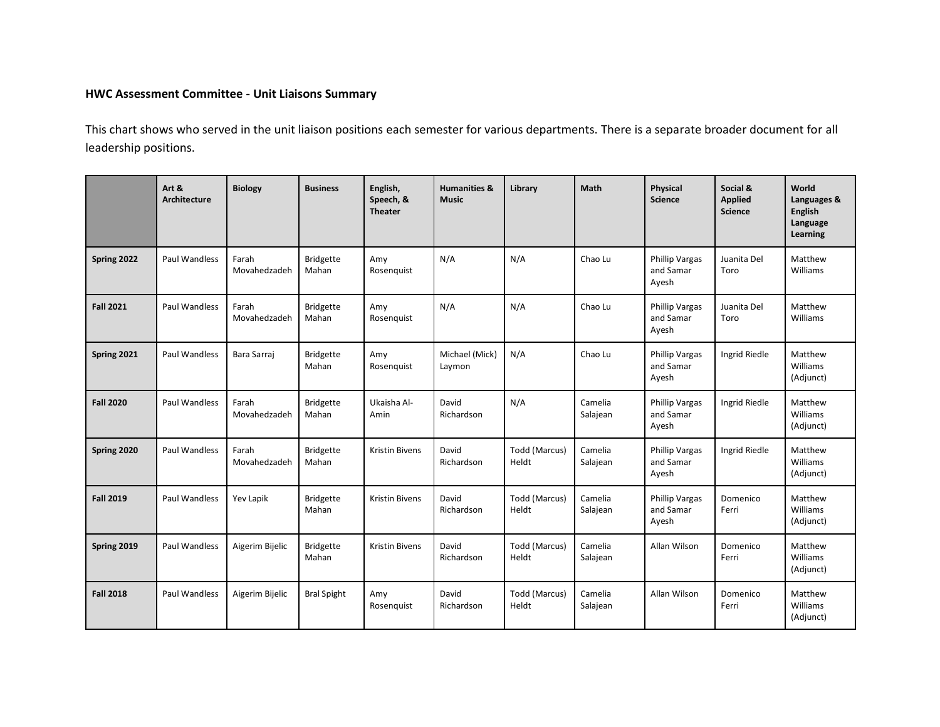## **HWC Assessment Committee - Unit Liaisons Summary**

This chart shows who served in the unit liaison positions each semester for various departments. There is a separate broader document for all leadership positions.

|                  | Art &<br>Architecture | <b>Biology</b>        | <b>Business</b>           | English,<br>Speech, &<br><b>Theater</b> | <b>Humanities &amp;</b><br><b>Music</b> | Library                       | Math                | <b>Physical</b><br><b>Science</b>           | Social &<br><b>Applied</b><br><b>Science</b> | World<br>Languages &<br><b>English</b><br>Language<br>Learning |
|------------------|-----------------------|-----------------------|---------------------------|-----------------------------------------|-----------------------------------------|-------------------------------|---------------------|---------------------------------------------|----------------------------------------------|----------------------------------------------------------------|
| Spring 2022      | <b>Paul Wandless</b>  | Farah<br>Movahedzadeh | <b>Bridgette</b><br>Mahan | Amy<br>Rosenquist                       | N/A                                     | N/A                           | Chao Lu             | <b>Phillip Vargas</b><br>and Samar<br>Ayesh | Juanita Del<br>Toro                          | Matthew<br>Williams                                            |
| <b>Fall 2021</b> | <b>Paul Wandless</b>  | Farah<br>Movahedzadeh | <b>Bridgette</b><br>Mahan | Amy<br>Rosenguist                       | N/A                                     | N/A                           | Chao Lu             | <b>Phillip Vargas</b><br>and Samar<br>Ayesh | Juanita Del<br>Toro                          | Matthew<br>Williams                                            |
| Spring 2021      | Paul Wandless         | Bara Sarraj           | <b>Bridgette</b><br>Mahan | Amy<br>Rosenquist                       | Michael (Mick)<br>Laymon                | N/A                           | Chao Lu             | <b>Phillip Vargas</b><br>and Samar<br>Ayesh | Ingrid Riedle                                | Matthew<br>Williams<br>(Adjunct)                               |
| <b>Fall 2020</b> | <b>Paul Wandless</b>  | Farah<br>Movahedzadeh | Bridgette<br>Mahan        | Ukaisha Al-<br>Amin                     | David<br>Richardson                     | N/A                           | Camelia<br>Salajean | <b>Phillip Vargas</b><br>and Samar<br>Ayesh | Ingrid Riedle                                | Matthew<br>Williams<br>(Adjunct)                               |
| Spring 2020      | Paul Wandless         | Farah<br>Movahedzadeh | <b>Bridgette</b><br>Mahan | <b>Kristin Bivens</b>                   | David<br>Richardson                     | Todd (Marcus)<br>Heldt        | Camelia<br>Salajean | <b>Phillip Vargas</b><br>and Samar<br>Ayesh | Ingrid Riedle                                | Matthew<br>Williams<br>(Adjunct)                               |
| <b>Fall 2019</b> | <b>Paul Wandless</b>  | Yev Lapik             | <b>Bridgette</b><br>Mahan | <b>Kristin Bivens</b>                   | David<br>Richardson                     | Todd (Marcus)<br>Heldt        | Camelia<br>Salajean | Phillip Vargas<br>and Samar<br>Ayesh        | Domenico<br>Ferri                            | Matthew<br>Williams<br>(Adjunct)                               |
| Spring 2019      | Paul Wandless         | Aigerim Bijelic       | <b>Bridgette</b><br>Mahan | <b>Kristin Bivens</b>                   | David<br>Richardson                     | Todd (Marcus)<br>Heldt        | Camelia<br>Salajean | Allan Wilson                                | Domenico<br>Ferri                            | Matthew<br>Williams<br>(Adjunct)                               |
| <b>Fall 2018</b> | Paul Wandless         | Aigerim Bijelic       | <b>Bral Spight</b>        | Amy<br>Rosenquist                       | David<br>Richardson                     | <b>Todd (Marcus)</b><br>Heldt | Camelia<br>Salajean | Allan Wilson                                | Domenico<br>Ferri                            | Matthew<br>Williams<br>(Adjunct)                               |